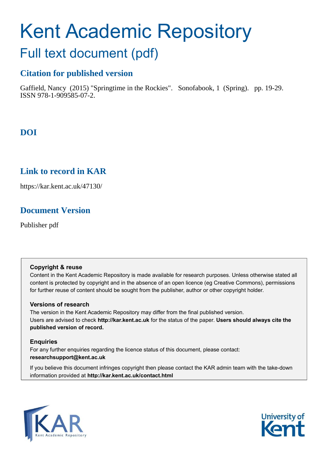# Kent Academic Repository

## Full text document (pdf)

## **Citation for published version**

Gaffield, Nancy (2015) "Springtime in the Rockies". Sonofabook, 1 (Spring). pp. 19-29. ISSN 978-1-909585-07-2.

## **DOI**

## **Link to record in KAR**

https://kar.kent.ac.uk/47130/

## **Document Version**

Publisher pdf

#### **Copyright & reuse**

Content in the Kent Academic Repository is made available for research purposes. Unless otherwise stated all content is protected by copyright and in the absence of an open licence (eg Creative Commons), permissions for further reuse of content should be sought from the publisher, author or other copyright holder.

#### **Versions of research**

The version in the Kent Academic Repository may differ from the final published version. Users are advised to check **http://kar.kent.ac.uk** for the status of the paper. **Users should always cite the published version of record.**

#### **Enquiries**

For any further enquiries regarding the licence status of this document, please contact: **researchsupport@kent.ac.uk**

If you believe this document infringes copyright then please contact the KAR admin team with the take-down information provided at **http://kar.kent.ac.uk/contact.html**



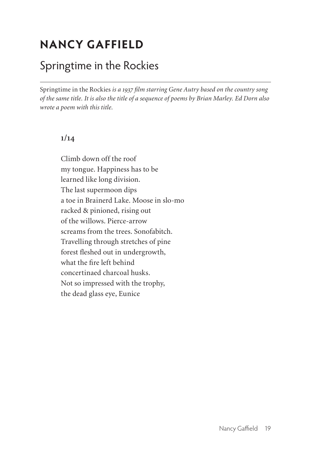## **NANCY GAFFIELD**

### Springtime in the Rockies

Springtime in the Rockies *is a 1937 film starring Gene Autry based on the country song of the same title. It is also the title of a sequence of poems by Brian Marley. Ed Dorn also wrote a poem with this title.*

#### **1/14**

.<br>-

Climb down off the roof my tongue. Happiness has to be learned like long division. The last supermoon dips a toe in Brainerd Lake. Moose in slo-mo racked & pinioned, rising out of the willows. Pierce-arrow screams from the trees. Sonofabitch. Travelling through stretches of pine forest fleshed out in undergrowth, what the fire left behind concertinaed charcoal husks. Not so impressed with the trophy, the dead glass eye, Eunice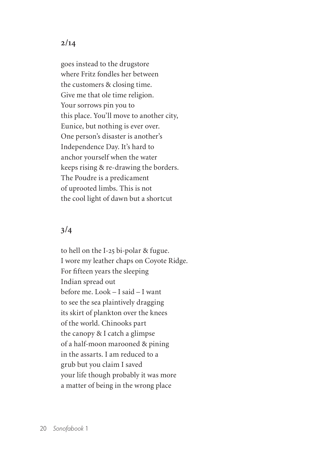goes instead to the drugstore where Fritz fondles her between the customers & closing time. Give me that ole time religion. Your sorrows pin you to this place. You'll move to another city, Eunice, but nothing is ever over. One person's disaster is another's Independence Day. It's hard to anchor yourself when the water keeps rising & re-drawing the borders. The Poudre is a predicament of uprooted limbs. This is not the cool light of dawn but a shortcut

#### **3/4**

to hell on the I-25 bi-polar & fugue. I wore my leather chaps on Coyote Ridge. For fifteen years the sleeping Indian spread out before me. Look – I said – I want to see the sea plaintively dragging its skirt of plankton over the knees of the world. Chinooks part the canopy & I catch a glimpse of a half-moon marooned & pining in the assarts. I am reduced to a grub but you claim I saved your life though probably it was more a matter of being in the wrong place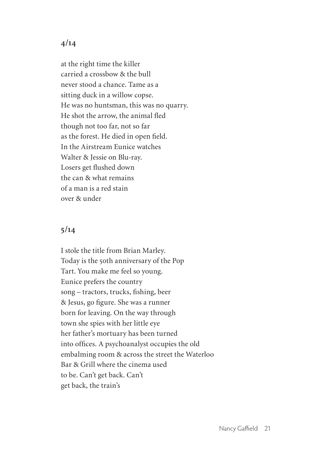at the right time the killer carried a crossbow & the bull never stood a chance. Tame as a sitting duck in a willow copse. He was no huntsman, this was no quarry. He shot the arrow, the animal fled though not too far, not so far as the forest. He died in open field. In the Airstream Eunice watches Walter & Jessie on Blu-ray. Losers get flushed down the can & what remains of a man is a red stain over & under

#### **5/14**

I stole the title from Brian Marley. Today is the 50th anniversary of the Pop Tart. You make me feel so young. Eunice prefers the country song – tractors, trucks, fishing, beer & Jesus, go figure. She was a runner born for leaving. On the way through town she spies with her little eye her father's mortuary has been turned into ofices. A psychoanalyst occupies the old embalming room & across the street the Waterloo Bar & Grill where the cinema used to be. Can't get back. Can't get back, the train's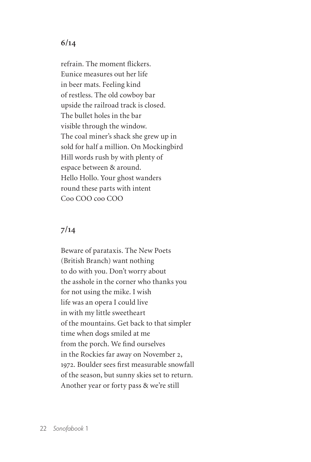refrain. The moment flickers. Eunice measures out her life in beer mats. Feeling kind of restless. The old cowboy bar upside the railroad track is closed. The bullet holes in the bar visible through the window. The coal miner's shack she grew up in sold for half a million. On Mockingbird Hill words rush by with plenty of espace between & around. Hello Hollo. Your ghost wanders round these parts with intent Coo COO coo COO

#### **7/14**

Beware of parataxis. The New Poets (British Branch) want nothing to do with you. Don't worry about the asshole in the corner who thanks you for not using the mike. I wish life was an opera I could live in with my little sweetheart of the mountains. Get back to that simpler time when dogs smiled at me from the porch. We find ourselves in the Rockies far away on November 2, 1972. Boulder sees first measurable snowfall of the season, but sunny skies set to return. Another year or forty pass & we're still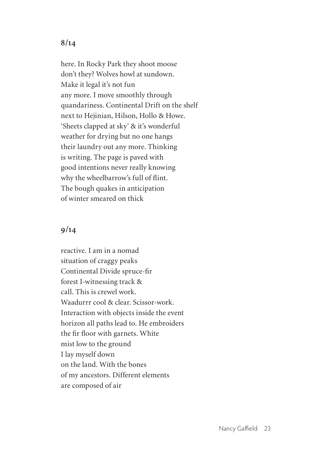here. In Rocky Park they shoot moose don't they? Wolves howl at sundown. Make it legal it's not fun any more. I move smoothly through quandariness. Continental Drift on the shelf next to Hejinian, Hilson, Hollo & Howe. 'Sheets clapped at sky' & it's wonderful weather for drying but no one hangs their laundry out any more. Thinking is writing. The page is paved with good intentions never really knowing why the wheelbarrow's full of flint. The bough quakes in anticipation of winter smeared on thick

#### **9/14**

reactive. I am in a nomad situation of craggy peaks Continental Divide spruce-fir forest I-witnessing track & call. This is crewel work. Waadurrr cool & clear. Scissor-work. Interaction with objects inside the event horizon all paths lead to. He embroiders the fir floor with garnets. White mist low to the ground I lay myself down on the land. With the bones of my ancestors. Different elements are composed of air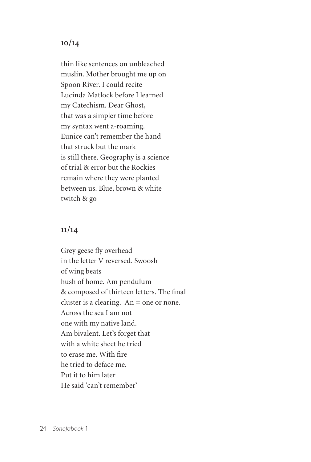thin like sentences on unbleached muslin. Mother brought me up on Spoon River. I could recite Lucinda Matlock before I learned my Catechism. Dear Ghost, that was a simpler time before my syntax went a-roaming. Eunice can't remember the hand that struck but the mark is still there. Geography is a science of trial & error but the Rockies remain where they were planted between us. Blue, brown & white twitch & go

#### **11/14**

Grey geese fly overhead in the letter V reversed. Swoosh of wing beats hush of home. Am pendulum & composed of thirteen letters. The final cluster is a clearing. An = one or none. Across the sea I am not one with my native land. Am bivalent. Let's forget that with a white sheet he tried to erase me. With fire he tried to deface me. Put it to him later He said 'can't remember'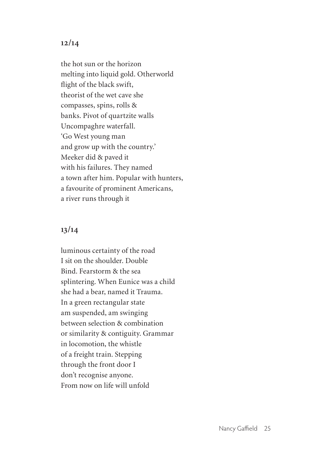the hot sun or the horizon melting into liquid gold. Otherworld flight of the black swift, theorist of the wet cave she compasses, spins, rolls & banks. Pivot of quartzite walls Uncompaghre waterfall. 'Go West young man and grow up with the country.' Meeker did & paved it with his failures. They named a town after him. Popular with hunters, a favourite of prominent Americans, a river runs through it

#### **13/14**

luminous certainty of the road I sit on the shoulder. Double Bind. Fearstorm & the sea splintering. When Eunice was a child she had a bear, named it Trauma. In a green rectangular state am suspended, am swinging between selection & combination or similarity & contiguity. Grammar in locomotion, the whistle of a freight train. Stepping through the front door I don't recognise anyone. From now on life will unfold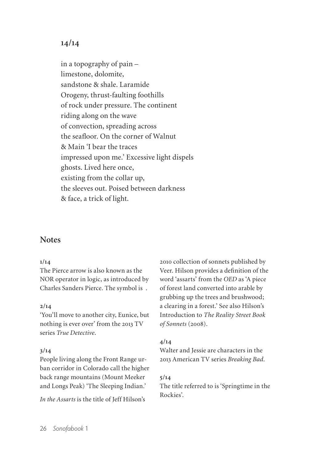in a topography of pain – limestone, dolomite, sandstone & shale. Laramide Orogeny, thrust-faulting foothills of rock under pressure. The continent riding along on the wave of convection, spreading across the seafloor. On the corner of Walnut & Main 'I bear the traces impressed upon me.' Excessive light dispels ghosts. Lived here once, existing from the collar up, the sleeves out. Poised between darkness & face, a trick of light.

#### **Notes**

#### **1/14**

The Pierce arrow is also known as the NOR operator in logic, as introduced by Charles Sanders Pierce. The symbol is .

#### **2/14**

'You'll move to another city, Eunice, but nothing is ever over' from the 2013 TV series *True Detective*.

#### **3/14**

People living along the Front Range urban corridor in Colorado call the higher back range mountains (Mount Meeker and Longs Peak) 'The Sleeping Indian.'

*In the Assarts* is the title of Jeff Hilson's

2010 collection of sonnets published by Veer. Hilson provides a definition of the word 'assarts' from the *OED* as 'A piece of forest land converted into arable by grubbing up the trees and brushwood; a clearing in a forest.' See also Hilson's Introduction to *The Reality Street Book of Sonnets* (2008).

#### **4/14**

Walter and Jessie are characters in the 2013 American TV series *Breaking Bad*.

#### **5/14**

The title referred to is 'Springtime in the Rockies'.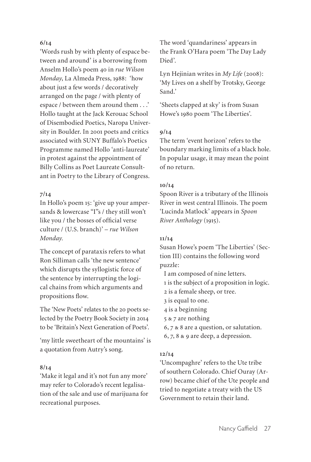'Words rush by with plenty of espace between and around' is a borrowing from Anselm Hollo's poem 40 in *rue Wilson Monday*, La Almeda Press, 1988: 'how about just a few words / decoratively arranged on the page / with plenty of espace / between them around them . . .' Hollo taught at the Jack Kerouac School of Disembodied Poetics, Naropa University in Boulder. In 2001 poets and critics associated with SUNY Buffalo's Poetics Programme named Hollo 'anti-laureate' in protest against the appointment of Billy Collins as Poet Laureate Consultant in Poetry to the Library of Congress.

#### **7/14**

In Hollo's poem 15: 'give up your ampersands & lowercase "I"s / they still won't like you / the bosses of oficial verse culture / (U.S. branch)' – *rue Wilson Monday.*

The concept of parataxis refers to what Ron Silliman calls 'the new sentence' which disrupts the syllogistic force of the sentence by interrupting the logical chains from which arguments and propositions flow.

The 'New Poets' relates to the 20 poets selected by the Poetry Book Society in 2014 to be 'Britain's Next Generation of Poets'.

'my little sweetheart of the mountains' is a quotation from Autry's song.

#### **8/14**

'Make it legal and it's not fun any more' may refer to Colorado's recent legalisation of the sale and use of marijuana for recreational purposes.

The word 'quandariness' appears in the Frank O'Hara poem 'The Day Lady Died'.

Lyn Hejinian writes in *My Life* (2008): 'My Lives on a shelf by Trotsky, George Sand.'

'Sheets clapped at sky' is from Susan Howe's 1980 poem 'The Liberties'.

#### **9/14**

The term 'event horizon' refers to the boundary marking limits of a black hole. In popular usage, it may mean the point of no return.

#### **10/14**

Spoon River is a tributary of the Illinois River in west central Illinois. The poem 'Lucinda Matlock' appears in *Spoon River Anthology* (1915).

#### **11/14**

Susan Howe's poem 'The Liberties' (Section III) contains the following word puzzle:

I am composed of nine letters.

- 1 is the subject of a proposition in logic.
- 2 is a female sheep, or tree.
- 3 is equal to one.
- 4 is a beginning
- 5 & 7 are nothing
- 6, 7 & 8 are a question, or salutation.
- 6, 7, 8 & 9 are deep, a depression.

#### **12/14**

'Uncompaghre' refers to the Ute tribe of southern Colorado. Chief Ouray (Arrow) became chief of the Ute people and tried to negotiate a treaty with the US Government to retain their land.